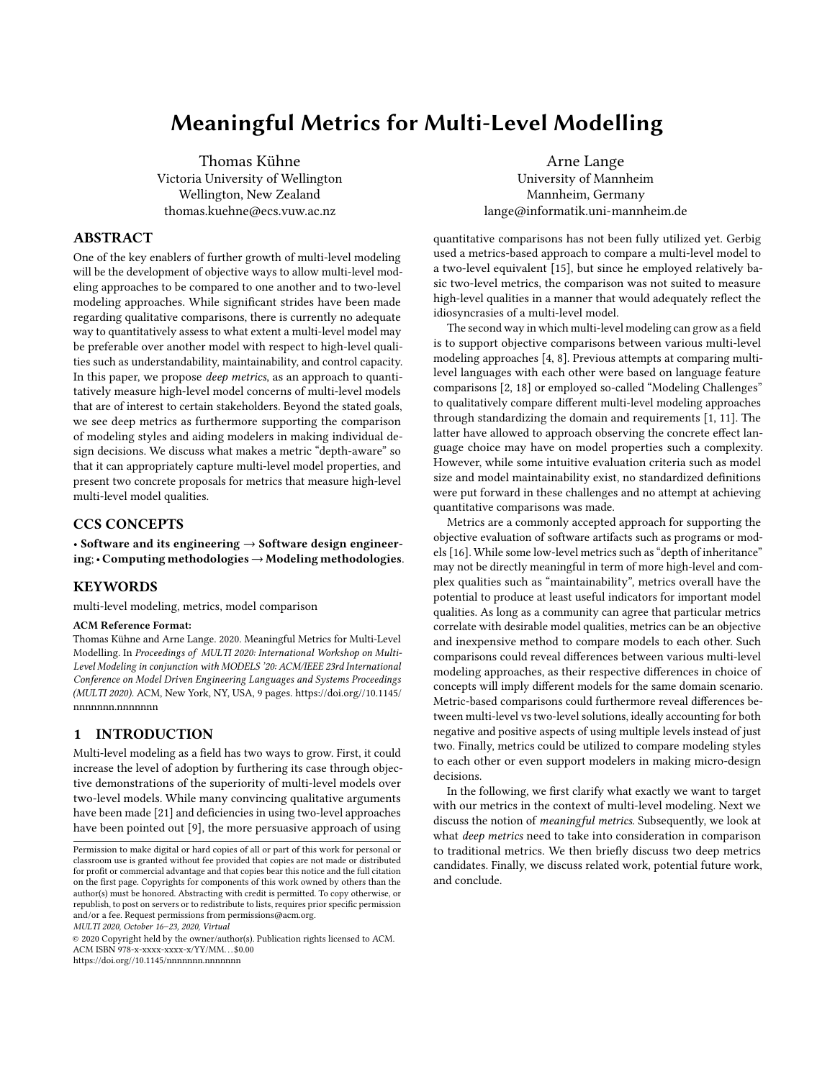# Meaningful Metrics for Multi-Level Modelling

Thomas Kühne Victoria University of Wellington Wellington, New Zealand thomas.kuehne@ecs.vuw.ac.nz

## ABSTRACT

One of the key enablers of further growth of multi-level modeling will be the development of objective ways to allow multi-level modeling approaches to be compared to one another and to two-level modeling approaches. While significant strides have been made regarding qualitative comparisons, there is currently no adequate way to quantitatively assess to what extent a multi-level model may be preferable over another model with respect to high-level qualities such as understandability, maintainability, and control capacity. In this paper, we propose *deep metrics*, as an approach to quantitatively measure high-level model concerns of multi-level models that are of interest to certain stakeholders. Beyond the stated goals, we see deep metrics as furthermore supporting the comparison of modeling styles and aiding modelers in making individual design decisions. We discuss what makes a metric "depth-aware" so that it can appropriately capture multi-level model properties, and present two concrete proposals for metrics that measure high-level multi-level model qualities.

## CCS CONCEPTS

• Software and its engineering  $\rightarrow$  Software design engineering;• Computing methodologies→Modeling methodologies.

## **KEYWORDS**

multi-level modeling, metrics, model comparison

#### ACM Reference Format:

Thomas Kühne and Arne Lange. 2020. Meaningful Metrics for Multi-Level Modelling. In Proceedings of MULTI 2020: International Workshop on Multi-Level Modeling in conjunction with MODELS '20: ACM/IEEE 23rd International Conference on Model Driven Engineering Languages and Systems Proceedings (MULTI 2020). ACM, New York, NY, USA, [9](#page-8-0) pages. [https://doi.org//10.1145/](https://doi.org//10.1145/nnnnnnn.nnnnnnn) [nnnnnnn.nnnnnnn](https://doi.org//10.1145/nnnnnnn.nnnnnnn)

# 1 INTRODUCTION

Multi-level modeling as a field has two ways to grow. First, it could increase the level of adoption by furthering its case through objective demonstrations of the superiority of multi-level models over two-level models. While many convincing qualitative arguments have been made [\[21\]](#page-8-1) and deficiencies in using two-level approaches have been pointed out [\[9\]](#page-7-0), the more persuasive approach of using

MULTI 2020, October 16–23, 2020, Virtual

© 2020 Copyright held by the owner/author(s). Publication rights licensed to ACM. ACM ISBN 978-x-xxxx-xxxx-x/YY/MM. . . \$0.00

<https://doi.org//10.1145/nnnnnnn.nnnnnnn>

Arne Lange University of Mannheim Mannheim, Germany lange@informatik.uni-mannheim.de

quantitative comparisons has not been fully utilized yet. Gerbig used a metrics-based approach to compare a multi-level model to a two-level equivalent [\[15\]](#page-7-1), but since he employed relatively basic two-level metrics, the comparison was not suited to measure high-level qualities in a manner that would adequately reflect the idiosyncrasies of a multi-level model.

The second way in which multi-level modeling can grow as a field is to support objective comparisons between various multi-level modeling approaches [\[4,](#page-7-2) [8\]](#page-7-3). Previous attempts at comparing multilevel languages with each other were based on language feature comparisons [\[2,](#page-7-4) [18\]](#page-7-5) or employed so-called "Modeling Challenges" to qualitatively compare different multi-level modeling approaches through standardizing the domain and requirements [\[1,](#page-7-6) [11\]](#page-7-7). The latter have allowed to approach observing the concrete effect language choice may have on model properties such a complexity. However, while some intuitive evaluation criteria such as model size and model maintainability exist, no standardized definitions were put forward in these challenges and no attempt at achieving quantitative comparisons was made.

Metrics are a commonly accepted approach for supporting the objective evaluation of software artifacts such as programs or models [\[16\]](#page-7-8). While some low-level metrics such as "depth of inheritance" may not be directly meaningful in term of more high-level and complex qualities such as "maintainability", metrics overall have the potential to produce at least useful indicators for important model qualities. As long as a community can agree that particular metrics correlate with desirable model qualities, metrics can be an objective and inexpensive method to compare models to each other. Such comparisons could reveal differences between various multi-level modeling approaches, as their respective differences in choice of concepts will imply different models for the same domain scenario. Metric-based comparisons could furthermore reveal differences between multi-level vs two-level solutions, ideally accounting for both negative and positive aspects of using multiple levels instead of just two. Finally, metrics could be utilized to compare modeling styles to each other or even support modelers in making micro-design decisions.

In the following, we first clarify what exactly we want to target with our metrics in the context of multi-level modeling. Next we discuss the notion of meaningful metrics. Subsequently, we look at what deep metrics need to take into consideration in comparison to traditional metrics. We then briefly discuss two deep metrics candidates. Finally, we discuss related work, potential future work, and conclude.

Permission to make digital or hard copies of all or part of this work for personal or classroom use is granted without fee provided that copies are not made or distributed for profit or commercial advantage and that copies bear this notice and the full citation on the first page. Copyrights for components of this work owned by others than the author(s) must be honored. Abstracting with credit is permitted. To copy otherwise, or republish, to post on servers or to redistribute to lists, requires prior specific permission and/or a fee. Request permissions from permissions@acm.org.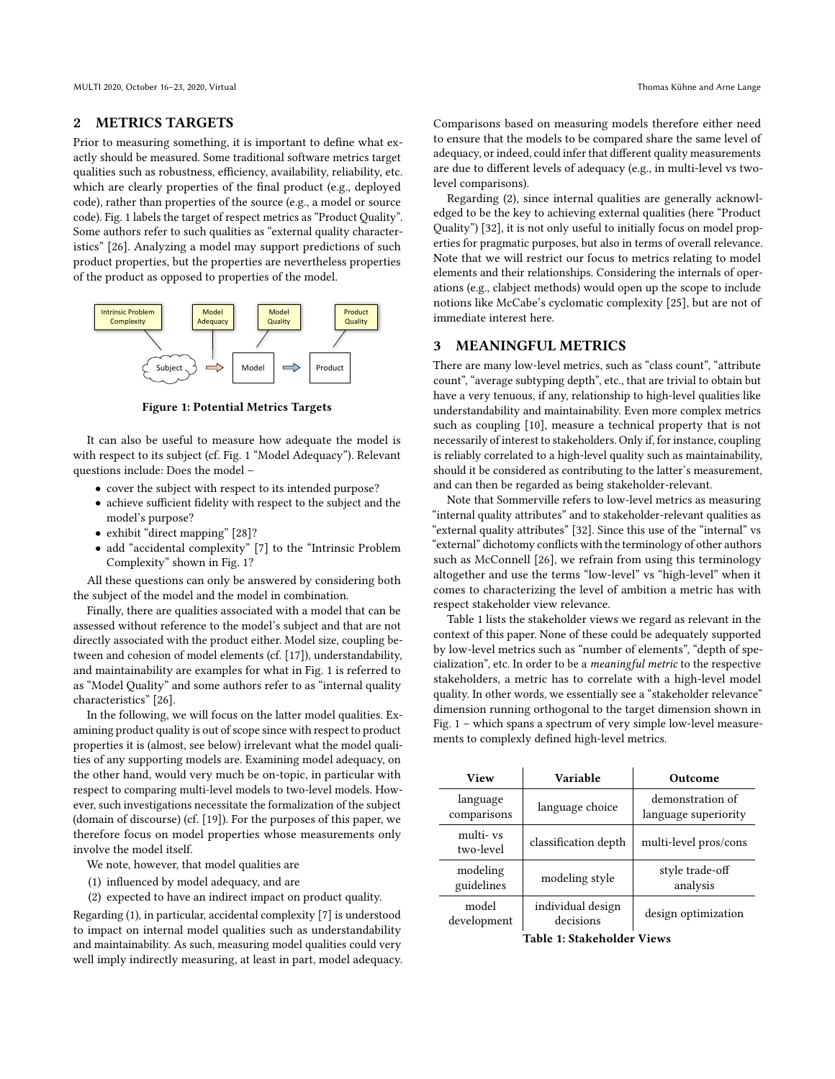MULTI 2020, October 16–23, 2020, Virtual Thomas Kühne and Arne Lange

#### 2 METRICS TARGETS

Prior to measuring something, it is important to define what exactly should be measured. Some traditional software metrics target qualities such as robustness, efficiency, availability, reliability, etc. which are clearly properties of the final product (e.g., deployed code), rather than properties of the source (e.g., a model or source code). Fig. [1](#page-1-0) labels the target of respect metrics as "Product Quality". Some authors refer to such qualities as "external quality characteristics" [\[26\]](#page-8-2). Analyzing a model may support predictions of such product properties, but the properties are nevertheless properties of the product as opposed to properties of the model.

<span id="page-1-0"></span>

Figure 1: Potential Metrics Targets

It can also be useful to measure how adequate the model is with respect to its subject (cf. Fig. [1](#page-1-0) "Model Adequacy"). Relevant questions include: Does the model –

- cover the subject with respect to its intended purpose?
- achieve sufficient fidelity with respect to the subject and the model's purpose?
- exhibit "direct mapping" [\[28\]](#page-8-3)?
- add "accidental complexity" [\[7\]](#page-7-9) to the "Intrinsic Problem Complexity" shown in Fig. [1?](#page-1-0)

All these questions can only be answered by considering both the subject of the model and the model in combination.

Finally, there are qualities associated with a model that can be assessed without reference to the model's subject and that are not directly associated with the product either. Model size, coupling between and cohesion of model elements (cf. [\[17\]](#page-7-10)), understandability, and maintainability are examples for what in Fig. [1](#page-1-0) is referred to as "Model Quality" and some authors refer to as "internal quality characteristics" [\[26\]](#page-8-2).

In the following, we will focus on the latter model qualities. Examining product quality is out of scope since with respect to product properties it is (almost, see below) irrelevant what the model qualities of any supporting models are. Examining model adequacy, on the other hand, would very much be on-topic, in particular with respect to comparing multi-level models to two-level models. However, such investigations necessitate the formalization of the subject (domain of discourse) (cf. [\[19\]](#page-7-11)). For the purposes of this paper, we therefore focus on model properties whose measurements only involve the model itself.

We note, however, that model qualities are

- (1) influenced by model adequacy, and are
- (2) expected to have an indirect impact on product quality.

Regarding (1), in particular, accidental complexity [\[7\]](#page-7-9) is understood to impact on internal model qualities such as understandability and maintainability. As such, measuring model qualities could very well imply indirectly measuring, at least in part, model adequacy.

Comparisons based on measuring models therefore either need to ensure that the models to be compared share the same level of adequacy, or indeed, could infer that different quality measurements are due to different levels of adequacy (e.g., in multi-level vs twolevel comparisons).

Regarding (2), since internal qualities are generally acknowledged to be the key to achieving external qualities (here "Product Quality") [\[32\]](#page-8-4), it is not only useful to initially focus on model properties for pragmatic purposes, but also in terms of overall relevance. Note that we will restrict our focus to metrics relating to model elements and their relationships. Considering the internals of operations (e.g., clabject methods) would open up the scope to include notions like McCabe's cyclomatic complexity [\[25\]](#page-8-5), but are not of immediate interest here.

## 3 MEANINGFUL METRICS

There are many low-level metrics, such as "class count", "attribute count", "average subtyping depth", etc., that are trivial to obtain but have a very tenuous, if any, relationship to high-level qualities like understandability and maintainability. Even more complex metrics such as coupling [\[10\]](#page-7-12), measure a technical property that is not necessarily of interest to stakeholders. Only if, for instance, coupling is reliably correlated to a high-level quality such as maintainability, should it be considered as contributing to the latter's measurement, and can then be regarded as being stakeholder-relevant.

Note that Sommerville refers to low-level metrics as measuring "internal quality attributes" and to stakeholder-relevant qualities as "external quality attributes" [\[32\]](#page-8-4). Since this use of the "internal" vs "external" dichotomy conflicts with the terminology of other authors such as McConnell [\[26\]](#page-8-2), we refrain from using this terminology altogether and use the terms "low-level" vs "high-level" when it comes to characterizing the level of ambition a metric has with respect stakeholder view relevance.

Table [1](#page-1-1) lists the stakeholder views we regard as relevant in the context of this paper. None of these could be adequately supported by low-level metrics such as "number of elements", "depth of specialization", etc. In order to be a meaningful metric to the respective stakeholders, a metric has to correlate with a high-level model quality. In other words, we essentially see a "stakeholder relevance" dimension running orthogonal to the target dimension shown in Fig. [1](#page-1-0) – which spans a spectrum of very simple low-level measurements to complexly defined high-level metrics.

<span id="page-1-1"></span>

| View                    | Variable                       | Outcome                                  |
|-------------------------|--------------------------------|------------------------------------------|
| language<br>comparisons | language choice                | demonstration of<br>language superiority |
| multi- vs<br>two-level  | classification depth           | multi-level pros/cons                    |
| modeling<br>guidelines  | modeling style                 | style trade-off<br>analysis              |
| model<br>development    | individual design<br>decisions | design optimization                      |

Table 1: Stakeholder Views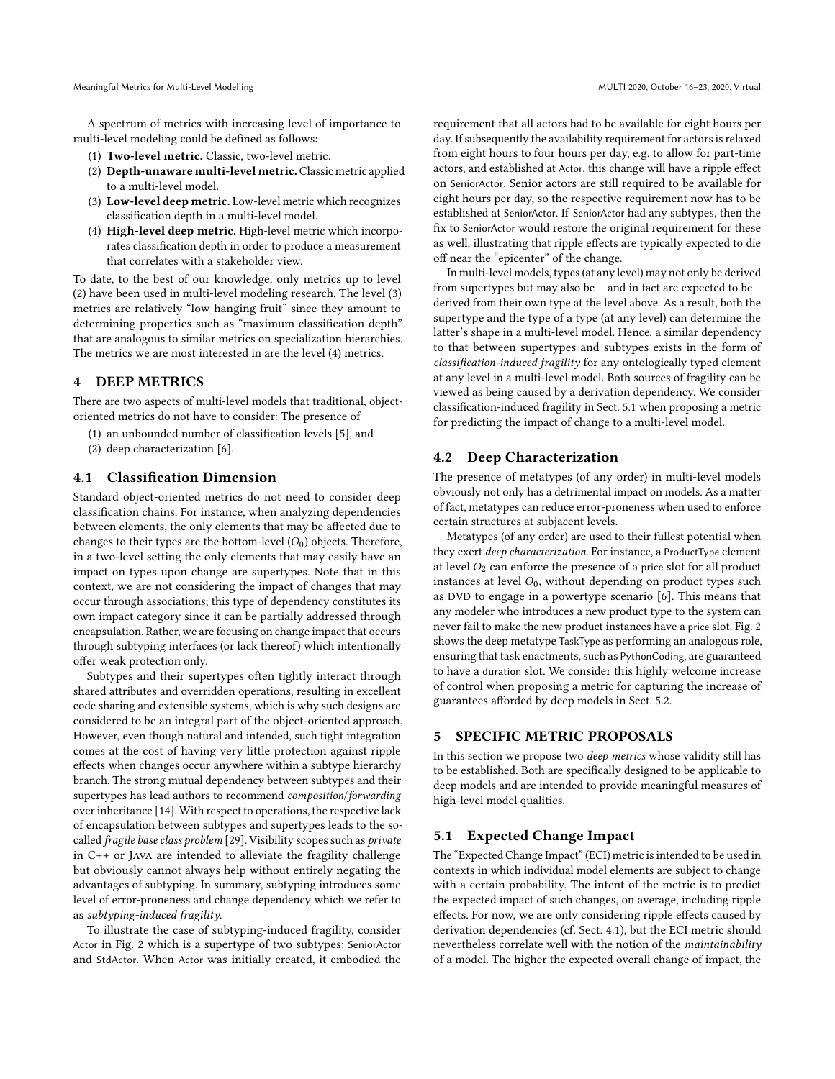A spectrum of metrics with increasing level of importance to multi-level modeling could be defined as follows:

- (1) Two-level metric. Classic, two-level metric.
- (2) Depth-unaware multi-level metric. Classic metric applied to a multi-level model.
- (3) Low-level deep metric. Low-level metric which recognizes classification depth in a multi-level model.
- (4) High-level deep metric. High-level metric which incorporates classification depth in order to produce a measurement that correlates with a stakeholder view.

To date, to the best of our knowledge, only metrics up to level (2) have been used in multi-level modeling research. The level (3) metrics are relatively "low hanging fruit" since they amount to determining properties such as "maximum classification depth" that are analogous to similar metrics on specialization hierarchies. The metrics we are most interested in are the level (4) metrics.

## 4 DEEP METRICS

There are two aspects of multi-level models that traditional, objectoriented metrics do not have to consider: The presence of

- (1) an unbounded number of classification levels [\[5\]](#page-7-13), and
- (2) deep characterization [\[6\]](#page-7-14).

## <span id="page-2-1"></span>4.1 Classification Dimension

Standard object-oriented metrics do not need to consider deep classification chains. For instance, when analyzing dependencies between elements, the only elements that may be affected due to changes to their types are the bottom-level  $(O_0)$  objects. Therefore, in a two-level setting the only elements that may easily have an impact on types upon change are supertypes. Note that in this context, we are not considering the impact of changes that may occur through associations; this type of dependency constitutes its own impact category since it can be partially addressed through encapsulation. Rather, we are focusing on change impact that occurs through subtyping interfaces (or lack thereof) which intentionally offer weak protection only.

Subtypes and their supertypes often tightly interact through shared attributes and overridden operations, resulting in excellent code sharing and extensible systems, which is why such designs are considered to be an integral part of the object-oriented approach. However, even though natural and intended, such tight integration comes at the cost of having very little protection against ripple effects when changes occur anywhere within a subtype hierarchy branch. The strong mutual dependency between subtypes and their supertypes has lead authors to recommend composition/forwarding over inheritance [\[14\]](#page-7-15). With respect to operations, the respective lack of encapsulation between subtypes and supertypes leads to the socalled fragile base class problem [\[29\]](#page-8-6). Visibility scopes such as private in C++ or Java are intended to alleviate the fragility challenge but obviously cannot always help without entirely negating the advantages of subtyping. In summary, subtyping introduces some level of error-proneness and change dependency which we refer to as subtyping-induced fragility.

To illustrate the case of subtyping-induced fragility, consider Actor in Fig. [2](#page-3-0) which is a supertype of two subtypes: SeniorActor and StdActor. When Actor was initially created, it embodied the requirement that all actors had to be available for eight hours per day. If subsequently the availability requirement for actors is relaxed from eight hours to four hours per day, e.g. to allow for part-time actors, and established at Actor, this change will have a ripple effect on SeniorActor. Senior actors are still required to be available for eight hours per day, so the respective requirement now has to be established at SeniorActor. If SeniorActor had any subtypes, then the fix to SeniorActor would restore the original requirement for these as well, illustrating that ripple effects are typically expected to die off near the "epicenter" of the change.

In multi-level models, types (at any level) may not only be derived from supertypes but may also be – and in fact are expected to be – derived from their own type at the level above. As a result, both the supertype and the type of a type (at any level) can determine the latter's shape in a multi-level model. Hence, a similar dependency to that between supertypes and subtypes exists in the form of classification-induced fragility for any ontologically typed element at any level in a multi-level model. Both sources of fragility can be viewed as being caused by a derivation dependency. We consider classification-induced fragility in Sect. [5.1](#page-2-0) when proposing a metric for predicting the impact of change to a multi-level model.

## 4.2 Deep Characterization

The presence of metatypes (of any order) in multi-level models obviously not only has a detrimental impact on models. As a matter of fact, metatypes can reduce error-proneness when used to enforce certain structures at subjacent levels.

Metatypes (of any order) are used to their fullest potential when they exert deep characterization. For instance, a ProductType element at level  $O_2$  can enforce the presence of a price slot for all product instances at level  $O_0$ , without depending on product types such as DVD to engage in a powertype scenario [\[6\]](#page-7-14). This means that any modeler who introduces a new product type to the system can never fail to make the new product instances have a price slot. Fig. [2](#page-3-0) shows the deep metatype TaskType as performing an analogous role, ensuring that task enactments, such as PythonCoding, are guaranteed to have a duration slot. We consider this highly welcome increase of control when proposing a metric for capturing the increase of guarantees afforded by deep models in Sect. [5.2.](#page-5-0)

## <span id="page-2-2"></span>5 SPECIFIC METRIC PROPOSALS

In this section we propose two deep metrics whose validity still has to be established. Both are specifically designed to be applicable to deep models and are intended to provide meaningful measures of high-level model qualities.

## <span id="page-2-0"></span>5.1 Expected Change Impact

The "Expected Change Impact" (ECI) metric is intended to be used in contexts in which individual model elements are subject to change with a certain probability. The intent of the metric is to predict the expected impact of such changes, on average, including ripple effects. For now, we are only considering ripple effects caused by derivation dependencies (cf. Sect. [4.1\)](#page-2-1), but the ECI metric should nevertheless correlate well with the notion of the maintainability of a model. The higher the expected overall change of impact, the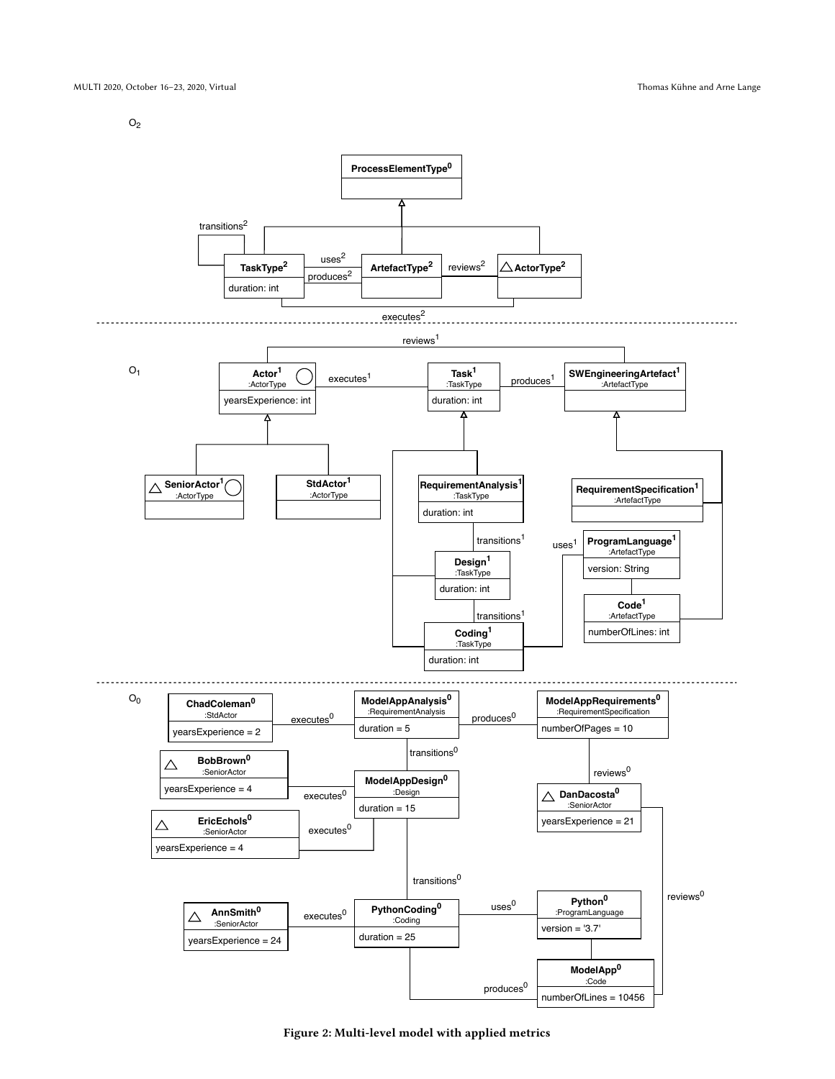$O<sub>2</sub>$ 

<span id="page-3-0"></span>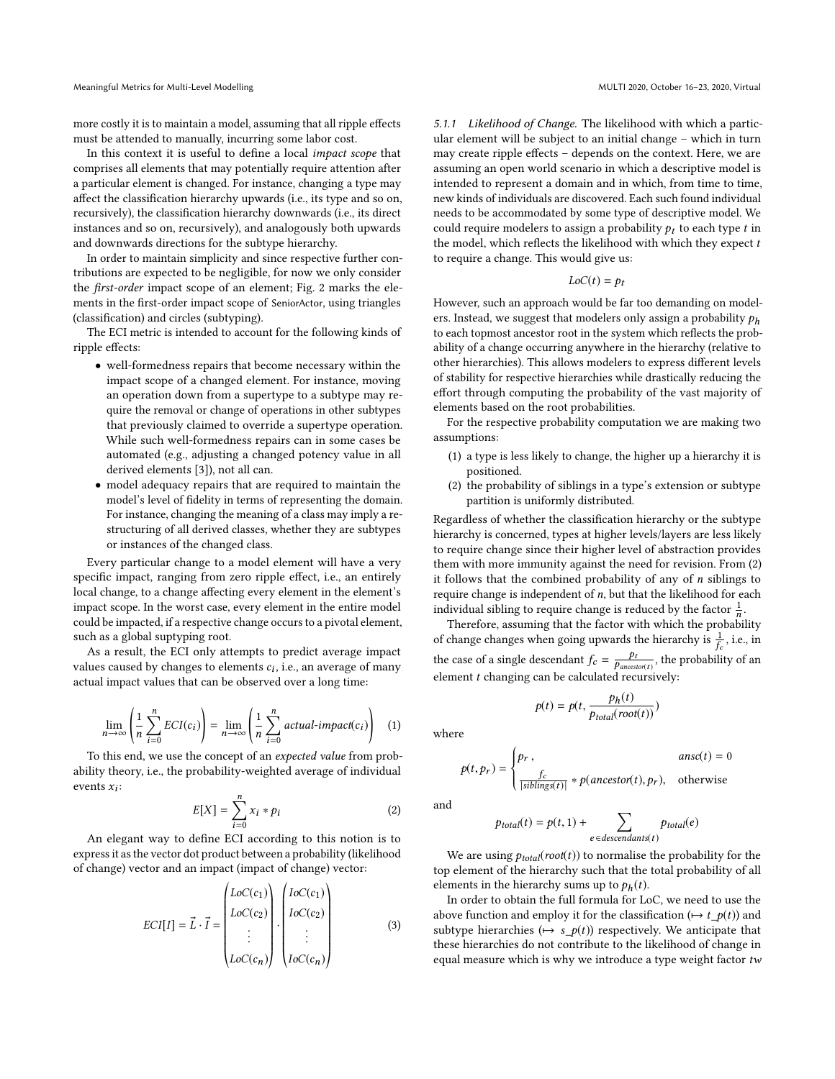more costly it is to maintain a model, assuming that all ripple effects must be attended to manually, incurring some labor cost.

In this context it is useful to define a local impact scope that comprises all elements that may potentially require attention after a particular element is changed. For instance, changing a type may affect the classification hierarchy upwards (i.e., its type and so on, recursively), the classification hierarchy downwards (i.e., its direct instances and so on, recursively), and analogously both upwards and downwards directions for the subtype hierarchy.

In order to maintain simplicity and since respective further contributions are expected to be negligible, for now we only consider the first-order impact scope of an element; Fig. [2](#page-3-0) marks the elements in the first-order impact scope of SeniorActor, using triangles (classification) and circles (subtyping).

The ECI metric is intended to account for the following kinds of ripple effects:

- well-formedness repairs that become necessary within the impact scope of a changed element. For instance, moving an operation down from a supertype to a subtype may require the removal or change of operations in other subtypes that previously claimed to override a supertype operation. While such well-formedness repairs can in some cases be automated (e.g., adjusting a changed potency value in all derived elements [\[3\]](#page-7-16)), not all can.
- model adequacy repairs that are required to maintain the model's level of fidelity in terms of representing the domain. For instance, changing the meaning of a class may imply a restructuring of all derived classes, whether they are subtypes or instances of the changed class.

Every particular change to a model element will have a very specific impact, ranging from zero ripple effect, i.e., an entirely local change, to a change affecting every element in the element's impact scope. In the worst case, every element in the entire model could be impacted, if a respective change occurs to a pivotal element, such as a global suptyping root.

As a result, the ECI only attempts to predict average impact values caused by changes to elements  $c_i$ , i.e., an average of many actual impact values that can be observed over a long time:

$$
\lim_{n \to \infty} \left( \frac{1}{n} \sum_{i=0}^{n} ECI(c_i) \right) = \lim_{n \to \infty} \left( \frac{1}{n} \sum_{i=0}^{n} actual\text{-}impact(c_i) \right) \tag{1}
$$

To this end, we use the concept of an expected value from probability theory, i.e., the probability-weighted average of individual events  $x_i$ :

$$
E[X] = \sum_{i=0}^{n} x_i * p_i
$$
 (2)

An elegant way to define ECI according to this notion is to express it as the vector dot product between a probability (likelihood of change) vector and an impact (impact of change) vector:

$$
ECI[I] = \vec{L} \cdot \vec{I} = \begin{pmatrix} LoC(c_1) \\ LoC(c_2) \\ \vdots \\ LoC(c_n) \end{pmatrix} \cdot \begin{pmatrix} IoC(c_1) \\ IoC(c_2) \\ \vdots \\ IoC(c_n) \end{pmatrix}
$$
(3)

5.1.1 Likelihood of Change. The likelihood with which a particular element will be subject to an initial change – which in turn may create ripple effects – depends on the context. Here, we are assuming an open world scenario in which a descriptive model is intended to represent a domain and in which, from time to time, new kinds of individuals are discovered. Each such found individual needs to be accommodated by some type of descriptive model. We could require modelers to assign a probability  $p_t$  to each type t in the model, which reflects the likelihood with which they expect  $t$ to require a change. This would give us:

$$
LoC(t) = p_t
$$

However, such an approach would be far too demanding on modelers. Instead, we suggest that modelers only assign a probability  $p_h$ to each topmost ancestor root in the system which reflects the probability of a change occurring anywhere in the hierarchy (relative to other hierarchies). This allows modelers to express different levels of stability for respective hierarchies while drastically reducing the effort through computing the probability of the vast majority of elements based on the root probabilities.

For the respective probability computation we are making two assumptions:

- (1) a type is less likely to change, the higher up a hierarchy it is positioned.
- (2) the probability of siblings in a type's extension or subtype partition is uniformly distributed.

Regardless of whether the classification hierarchy or the subtype hierarchy is concerned, types at higher levels/layers are less likely to require change since their higher level of abstraction provides them with more immunity against the need for revision. From (2) it follows that the combined probability of any of  $n$  siblings to require change is independent of  $n$ , but that the likelihood for each individual sibling to require change is reduced by the factor  $\frac{1}{n}$ .

Therefore, assuming that the factor with which the probability of change changes when going upwards the hierarchy is  $\frac{1}{f_c}$ , i.e., in the case of a single descendant  $f_c = \frac{p_t}{p_{ancestort}}$ , the probability of an element t changing can be calculated recursively:

 $p(t) = p(t, \frac{p_h(t)}{p_{total}(root(t))})$ 

where

$$
p(t, p_r) = \begin{cases} p_r, & \text{ansc}(t) = 0\\ \frac{f_c}{|\text{siblings}(t)|} * p(\text{ancestor}(t), p_r), & \text{otherwise} \end{cases}
$$

and

$$
p_{total}(t) = p(t, 1) + \sum_{e \in descendants(t)} p_{total}(e)
$$

We are using  $p_{total}(root(t))$  to normalise the probability for the top element of the hierarchy such that the total probability of all elements in the hierarchy sums up to  $p_h(t)$ .

In order to obtain the full formula for LoC, we need to use the above function and employ it for the classification ( $\mapsto t_{p}(t)$ ) and subtype hierarchies ( $\mapsto s_p(t)$ ) respectively. We anticipate that these hierarchies do not contribute to the likelihood of change in equal measure which is why we introduce a type weight factor tw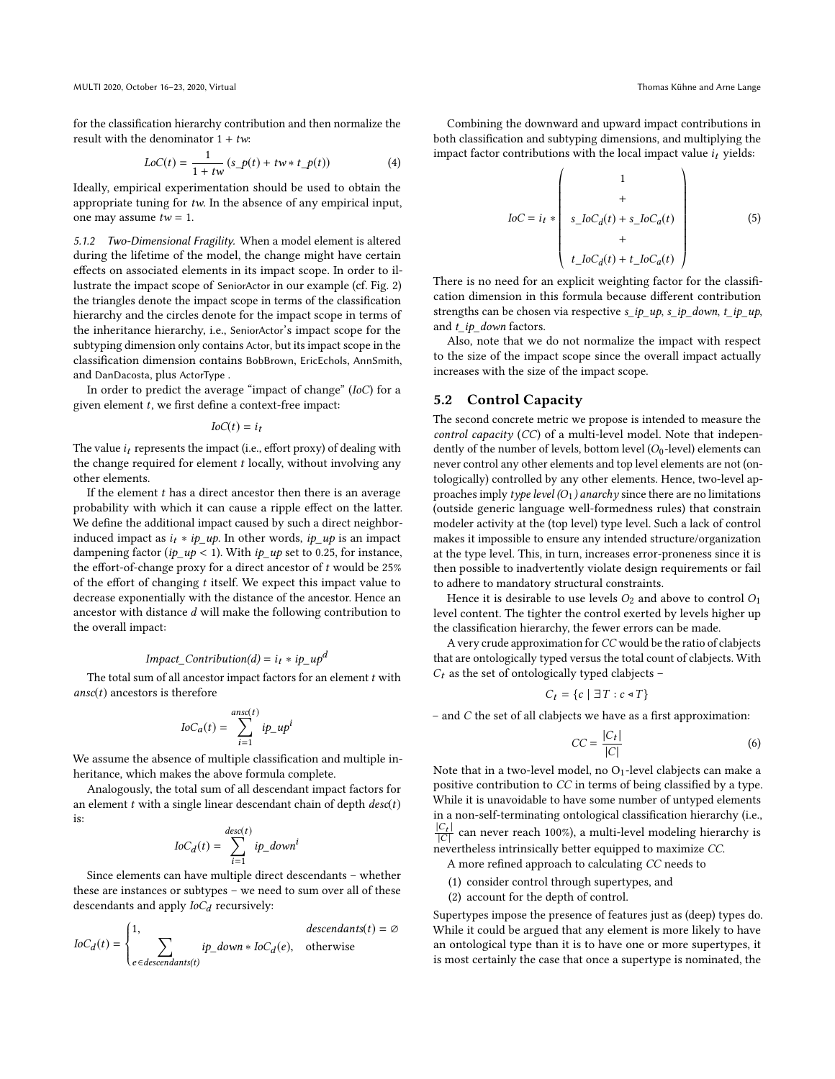for the classification hierarchy contribution and then normalize the result with the denominator  $1 + tw$ :

$$
LoC(t) = \frac{1}{1 + tw} (s\_p(t) + tw * t\_p(t))
$$
 (4)

Ideally, empirical experimentation should be used to obtain the appropriate tuning for tw. In the absence of any empirical input, one may assume  $tw = 1$ .

5.1.2 Two-Dimensional Fragility. When a model element is altered during the lifetime of the model, the change might have certain effects on associated elements in its impact scope. In order to illustrate the impact scope of SeniorActor in our example (cf. Fig. [2\)](#page-3-0) the triangles denote the impact scope in terms of the classification hierarchy and the circles denote for the impact scope in terms of the inheritance hierarchy, i.e., SeniorActor's impact scope for the subtyping dimension only contains Actor, but its impact scope in the classification dimension contains BobBrown, EricEchols, AnnSmith, and DanDacosta, plus ActorType .

In order to predict the average "impact of change" (IoC) for a given element t, we first define a context-free impact:

 $IoC(t) = i_t$ 

The value  $i_t$  represents the impact (i.e., effort proxy) of dealing with the change required for element  $t$  locally, without involving any other elements.

If the element  $t$  has a direct ancestor then there is an average probability with which it can cause a ripple effect on the latter. We define the additional impact caused by such a direct neighborinduced impact as  $i_t * ip\_up$ . In other words,  $ip\_up$  is an impact dampening factor ( $ip \mu p < 1$ ). With  $ip \mu p$  set to 0.25, for instance, the effort-of-change proxy for a direct ancestor of  $t$  would be 25% of the effort of changing  $t$  itself. We expect this impact value to decrease exponentially with the distance of the ancestor. Hence an ancestor with distance d will make the following contribution to the overall impact:

#### Impact\_Contribution(d) =  $i_t * ip \mu p^d$

The total sum of all ancestor impact factors for an element  $t$  with  $ansc(t)$  ancestors is therefore

$$
IoC_a(t) = \sum_{i=1}^{ansc(t)} ip_{\perp}up^i
$$

We assume the absence of multiple classification and multiple inheritance, which makes the above formula complete.

Analogously, the total sum of all descendant impact factors for an element  $t$  with a single linear descendant chain of depth  $desc(t)$ is:

$$
IoC_d(t) = \sum_{i=1}^{desc(t)} ip\_down^i
$$

Since elements can have multiple direct descendants – whether these are instances or subtypes – we need to sum over all of these descendants and apply  $IoC_d$  recursively:

$$
IoC_d(t) = \begin{cases} 1, & descendants(t) = \emptyset \\ \sum_{e \in descendants(t)} & ip\_down * IoC_d(e), & otherwise \end{cases}
$$

Combining the downward and upward impact contributions in both classification and subtyping dimensions, and multiplying the impact factor contributions with the local impact value  $i_t$  yields:

$$
IoC = i_t * \begin{pmatrix} 1 \\ + \\ \cdot \\ s\_IoC_d(t) + s\_IoC_d(t) \\ + \\ t\_IoC_d(t) + t\_IoC_d(t) \end{pmatrix}
$$
(5)

There is no need for an explicit weighting factor for the classification dimension in this formula because different contribution strengths can be chosen via respective  $s_i$  *ip\_up, s\_ip\_down, t\_ip\_up,* and  $t$ \_*ip\_down* factors.

Also, note that we do not normalize the impact with respect to the size of the impact scope since the overall impact actually increases with the size of the impact scope.

#### <span id="page-5-0"></span>5.2 Control Capacity

The second concrete metric we propose is intended to measure the control capacity (CC) of a multi-level model. Note that independently of the number of levels, bottom level  $(O<sub>0</sub>$ -level) elements can never control any other elements and top level elements are not (ontologically) controlled by any other elements. Hence, two-level approaches imply type level  $(O_1)$  anarchy since there are no limitations (outside generic language well-formedness rules) that constrain modeler activity at the (top level) type level. Such a lack of control makes it impossible to ensure any intended structure/organization at the type level. This, in turn, increases error-proneness since it is then possible to inadvertently violate design requirements or fail to adhere to mandatory structural constraints.

Hence it is desirable to use levels  $O_2$  and above to control  $O_1$ level content. The tighter the control exerted by levels higher up the classification hierarchy, the fewer errors can be made.

A very crude approximation for CC would be the ratio of clabjects that are ontologically typed versus the total count of clabjects. With  $C_t$  as the set of ontologically typed clabjects -

$$
C_t = \{c \mid \exists T : c \triangleleft T\}
$$

– and C the set of all clabjects we have as a first approximation:

$$
CC = \frac{|C_t|}{|C|} \tag{6}
$$

Note that in a two-level model, no  $O<sub>1</sub>$ -level clabjects can make a positive contribution to CC in terms of being classified by a type. While it is unavoidable to have some number of untyped elements in a non-self-terminating ontological classification hierarchy (i.e.,  $\frac{|C_t|}{|C|}$  can never reach 100%), a multi-level modeling hierarchy is nevertheless intrinsically better equipped to maximize CC.

A more refined approach to calculating CC needs to

- (1) consider control through supertypes, and
- (2) account for the depth of control.

Supertypes impose the presence of features just as (deep) types do. While it could be argued that any element is more likely to have an ontological type than it is to have one or more supertypes, it is most certainly the case that once a supertype is nominated, the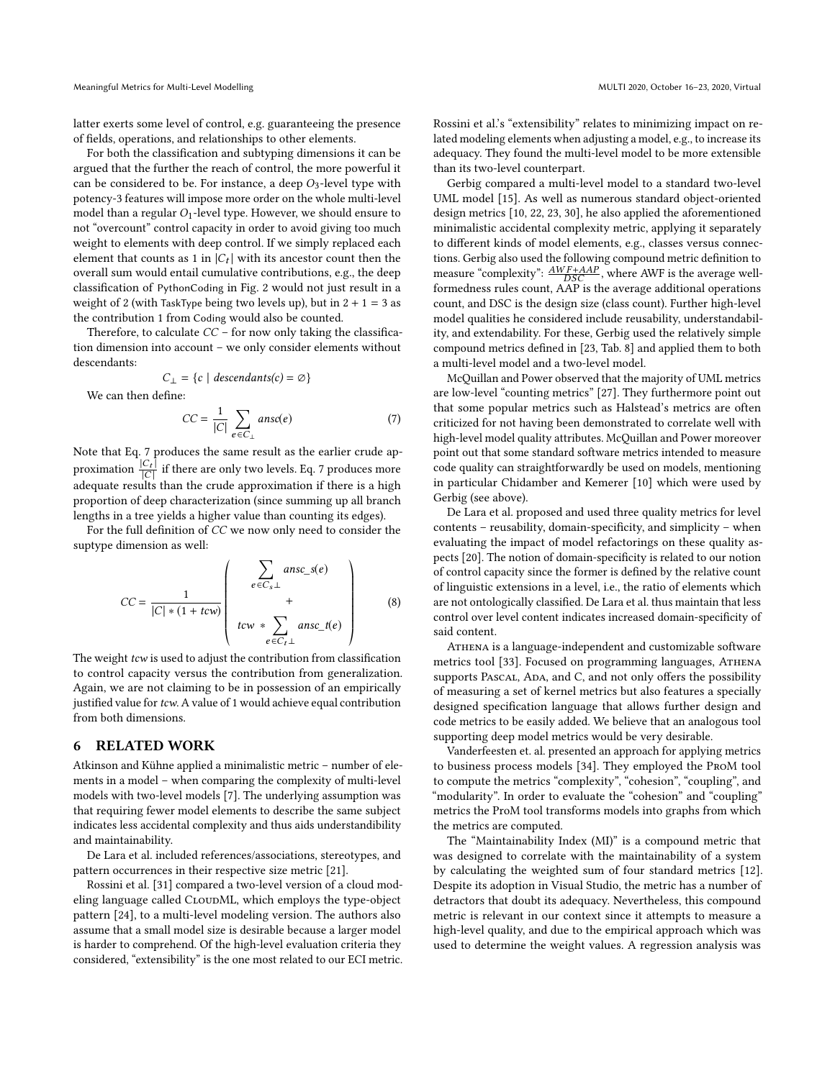latter exerts some level of control, e.g. guaranteeing the presence of fields, operations, and relationships to other elements.

For both the classification and subtyping dimensions it can be argued that the further the reach of control, the more powerful it can be considered to be. For instance, a deep  $O_3$ -level type with potency-3 features will impose more order on the whole multi-level model than a regular  $O_1$ -level type. However, we should ensure to not "overcount" control capacity in order to avoid giving too much weight to elements with deep control. If we simply replaced each element that counts as 1 in  $|C_t|$  with its ancestor count then the overall sum would entail cumulative contributions, e.g., the deep classification of PythonCoding in Fig. [2](#page-3-0) would not just result in a weight of 2 (with TaskType being two levels up), but in  $2 + 1 = 3$  as the contribution 1 from Coding would also be counted.

Therefore, to calculate  $CC$  – for now only taking the classification dimension into account – we only consider elements without descendants:

$$
C_{\perp} = \{c \mid descendants(c) = \emptyset\}
$$

We can then define:

<span id="page-6-0"></span>
$$
CC = \frac{1}{|C|} \sum_{e \in C_{\perp}} ansc(e) \tag{7}
$$

Note that Eq. [7](#page-6-0) produces the same result as the earlier crude approximation  $\frac{|C_t|}{|C|}$  if there are only two levels. Eq. [7](#page-6-0) produces more adequate results than the crude approximation if there is a high proportion of deep characterization (since summing up all branch lengths in a tree yields a higher value than counting its edges).

For the full definition of CC we now only need to consider the suptype dimension as well:

$$
CC = \frac{1}{|C| * (1 + t \cos)} \left( \begin{array}{c} \sum_{e \in C_s \perp} ansc_s(e) \\ + \\ + \\ t \cos \sum_{e \in C_t \perp} ansc_t(e) \end{array} \right) \qquad (8)
$$

The weight *tcw* is used to adjust the contribution from classification to control capacity versus the contribution from generalization. Again, we are not claiming to be in possession of an empirically justified value for tcw. A value of 1 would achieve equal contribution from both dimensions.

#### 6 RELATED WORK

Atkinson and Kühne applied a minimalistic metric – number of elements in a model – when comparing the complexity of multi-level models with two-level models [\[7\]](#page-7-9). The underlying assumption was that requiring fewer model elements to describe the same subject indicates less accidental complexity and thus aids understandibility and maintainability.

De Lara et al. included references/associations, stereotypes, and pattern occurrences in their respective size metric [\[21\]](#page-8-1).

Rossini et al. [\[31\]](#page-8-7) compared a two-level version of a cloud modeling language called CLOUDML, which employs the type-object pattern [\[24\]](#page-8-8), to a multi-level modeling version. The authors also assume that a small model size is desirable because a larger model is harder to comprehend. Of the high-level evaluation criteria they considered, "extensibility" is the one most related to our ECI metric. Rossini et al.'s "extensibility" relates to minimizing impact on related modeling elements when adjusting a model, e.g., to increase its adequacy. They found the multi-level model to be more extensible than its two-level counterpart.

Gerbig compared a multi-level model to a standard two-level UML model [\[15\]](#page-7-1). As well as numerous standard object-oriented design metrics [\[10,](#page-7-12) [22,](#page-8-9) [23,](#page-8-10) [30\]](#page-8-11), he also applied the aforementioned minimalistic accidental complexity metric, applying it separately to different kinds of model elements, e.g., classes versus connections. Gerbig also used the following compound metric definition to measure "complexity":  $\frac{AWF+AAP}{DSC}$ , where AWF is the average wellformedness rules count, AAP is the average additional operations count, and DSC is the design size (class count). Further high-level model qualities he considered include reusability, understandability, and extendability. For these, Gerbig used the relatively simple compound metrics defined in [\[23,](#page-8-10) Tab. 8] and applied them to both a multi-level model and a two-level model.

McQuillan and Power observed that the majority of UML metrics are low-level "counting metrics" [\[27\]](#page-8-12). They furthermore point out that some popular metrics such as Halstead's metrics are often criticized for not having been demonstrated to correlate well with high-level model quality attributes. McQuillan and Power moreover point out that some standard software metrics intended to measure code quality can straightforwardly be used on models, mentioning in particular Chidamber and Kemerer [\[10\]](#page-7-12) which were used by Gerbig (see above).

De Lara et al. proposed and used three quality metrics for level contents – reusability, domain-specificity, and simplicity – when evaluating the impact of model refactorings on these quality aspects [\[20\]](#page-8-13). The notion of domain-specificity is related to our notion of control capacity since the former is defined by the relative count of linguistic extensions in a level, i.e., the ratio of elements which are not ontologically classified. De Lara et al. thus maintain that less control over level content indicates increased domain-specificity of said content.

ATHENA is a language-independent and customizable software metrics tool [\[33\]](#page-8-14). Focused on programming languages, Athena supports Pascal, Ada, and C, and not only offers the possibility of measuring a set of kernel metrics but also features a specially designed specification language that allows further design and code metrics to be easily added. We believe that an analogous tool supporting deep model metrics would be very desirable.

Vanderfeesten et. al. presented an approach for applying metrics to business process models [\[34\]](#page-8-15). They employed the ProM tool to compute the metrics "complexity", "cohesion", "coupling", and "modularity". In order to evaluate the "cohesion" and "coupling" metrics the ProM tool transforms models into graphs from which the metrics are computed.

The "Maintainability Index (MI)" is a compound metric that was designed to correlate with the maintainability of a system by calculating the weighted sum of four standard metrics [\[12\]](#page-7-17). Despite its adoption in Visual Studio, the metric has a number of detractors that doubt its adequacy. Nevertheless, this compound metric is relevant in our context since it attempts to measure a high-level quality, and due to the empirical approach which was used to determine the weight values. A regression analysis was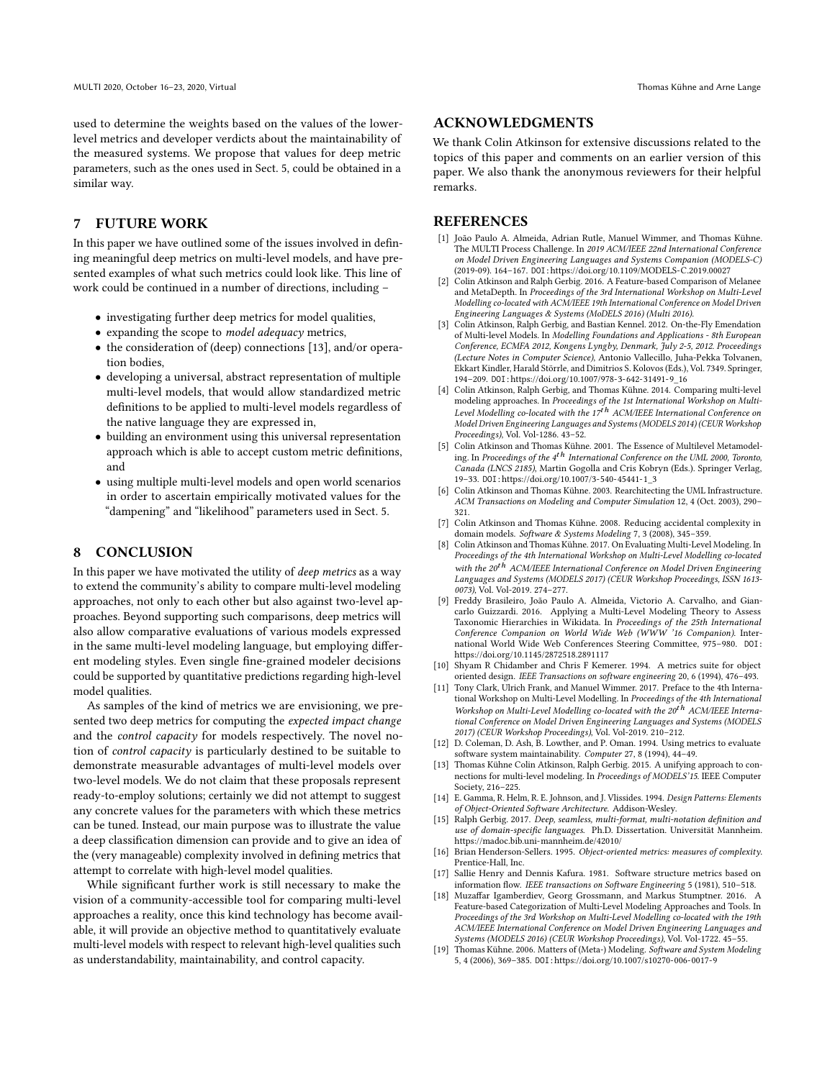used to determine the weights based on the values of the lowerlevel metrics and developer verdicts about the maintainability of the measured systems. We propose that values for deep metric parameters, such as the ones used in Sect. [5,](#page-2-2) could be obtained in a similar way.

# 7 FUTURE WORK

In this paper we have outlined some of the issues involved in defining meaningful deep metrics on multi-level models, and have presented examples of what such metrics could look like. This line of work could be continued in a number of directions, including –

- investigating further deep metrics for model qualities,
- expanding the scope to model adequacy metrics,
- the consideration of (deep) connections [\[13\]](#page-7-18), and/or operation bodies,
- developing a universal, abstract representation of multiple multi-level models, that would allow standardized metric definitions to be applied to multi-level models regardless of the native language they are expressed in,
- building an environment using this universal representation approach which is able to accept custom metric definitions, and
- using multiple multi-level models and open world scenarios in order to ascertain empirically motivated values for the "dampening" and "likelihood" parameters used in Sect. [5.](#page-2-2)

#### 8 CONCLUSION

In this paper we have motivated the utility of deep metrics as a way to extend the community's ability to compare multi-level modeling approaches, not only to each other but also against two-level approaches. Beyond supporting such comparisons, deep metrics will also allow comparative evaluations of various models expressed in the same multi-level modeling language, but employing different modeling styles. Even single fine-grained modeler decisions could be supported by quantitative predictions regarding high-level model qualities.

As samples of the kind of metrics we are envisioning, we presented two deep metrics for computing the expected impact change and the control capacity for models respectively. The novel notion of control capacity is particularly destined to be suitable to demonstrate measurable advantages of multi-level models over two-level models. We do not claim that these proposals represent ready-to-employ solutions; certainly we did not attempt to suggest any concrete values for the parameters with which these metrics can be tuned. Instead, our main purpose was to illustrate the value a deep classification dimension can provide and to give an idea of the (very manageable) complexity involved in defining metrics that attempt to correlate with high-level model qualities.

While significant further work is still necessary to make the vision of a community-accessible tool for comparing multi-level approaches a reality, once this kind technology has become available, it will provide an objective method to quantitatively evaluate multi-level models with respect to relevant high-level qualities such as understandability, maintainability, and control capacity.

## ACKNOWLEDGMENTS

We thank Colin Atkinson for extensive discussions related to the topics of this paper and comments on an earlier version of this paper. We also thank the anonymous reviewers for their helpful remarks.

#### REFERENCES

- <span id="page-7-6"></span>[1] João Paulo A. Almeida, Adrian Rutle, Manuel Wimmer, and Thomas Kühne. The MULTI Process Challenge. In 2019 ACM/IEEE 22nd International Conference on Model Driven Engineering Languages and Systems Companion (MODELS-C) (2019-09). 164–167. DOI:<https://doi.org/10.1109/MODELS-C.2019.00027>
- <span id="page-7-4"></span>[2] Colin Atkinson and Ralph Gerbig. 2016. A Feature-based Comparison of Melanee and MetaDepth. In Proceedings of the 3rd International Workshop on Multi-Level Modelling co-located with ACM/IEEE 19th International Conference on Model Driven Engineering Languages & Systems (MoDELS 2016) (Multi 2016).
- <span id="page-7-16"></span>[3] Colin Atkinson, Ralph Gerbig, and Bastian Kennel. 2012. On-the-Fly Emendation of Multi-level Models. In Modelling Foundations and Applications - 8th European Conference, ECMFA 2012, Kongens Lyngby, Denmark, July 2-5, 2012. Proceedings (Lecture Notes in Computer Science), Antonio Vallecillo, Juha-Pekka Tolvanen, Ekkart Kindler, Harald Störrle, and Dimitrios S. Kolovos (Eds.), Vol. 7349. Springer, 194–209. DOI:[https://doi.org/10.1007/978-3-642-31491-9\\_16](https://doi.org/10.1007/978-3-642-31491-9_16)
- <span id="page-7-2"></span>[4] Colin Atkinson, Ralph Gerbig, and Thomas Kühne. 2014. Comparing multi-level modeling approaches. In Proceedings of the 1st International Workshop on Multi-Level Modelling co-located with the  $17<sup>th</sup>$  ACM/IEEE International Conference on Model Driven Engineering Languages and Systems (MODELS 2014) (CEUR Workshop Proceedings), Vol. Vol-1286. 43–52.
- <span id="page-7-13"></span>[5] Colin Atkinson and Thomas Kühne. 2001. The Essence of Multilevel Metamodeling. In Proceedings of the  $4^{th}$  International Conference on the UML 2000, Toronto, Canada (LNCS 2185), Martin Gogolla and Cris Kobryn (Eds.). Springer Verlag, 19–33. DOI:[https://doi.org/10.1007/3-540-45441-1\\_3](https://doi.org/10.1007/3-540-45441-1_3)
- <span id="page-7-14"></span>[6] Colin Atkinson and Thomas Kühne. 2003. Rearchitecting the UML Infrastructure. ACM Transactions on Modeling and Computer Simulation 12, 4 (Oct. 2003), 290– 321.
- <span id="page-7-9"></span>[7] Colin Atkinson and Thomas Kühne. 2008. Reducing accidental complexity in domain models. Software & Systems Modeling 7, 3 (2008), 345–359.
- <span id="page-7-3"></span>[8] Colin Atkinson and Thomas Kühne. 2017. On Evaluating Multi-Level Modeling. In Proceedings of the 4th International Workshop on Multi-Level Modelling co-located with the  $20^{t}$ <sup>h</sup> ACM/IEEE International Conference on Model Driven Engineering Languages and Systems (MODELS 2017) (CEUR Workshop Proceedings, ISSN 1613- 0073), Vol. Vol-2019. 274–277.
- <span id="page-7-0"></span>[9] Freddy Brasileiro, João Paulo A. Almeida, Victorio A. Carvalho, and Giancarlo Guizzardi. 2016. Applying a Multi-Level Modeling Theory to Assess Taxonomic Hierarchies in Wikidata. In Proceedings of the 25th International Conference Companion on World Wide Web (WWW '16 Companion). International World Wide Web Conferences Steering Committee, 975–980. DOI: <https://doi.org/10.1145/2872518.2891117>
- <span id="page-7-12"></span>[10] Shyam R Chidamber and Chris F Kemerer. 1994. A metrics suite for object oriented design. IEEE Transactions on software engineering 20, 6 (1994), 476–493.
- <span id="page-7-7"></span>[11] Tony Clark, Ulrich Frank, and Manuel Wimmer. 2017. Preface to the 4th International Workshop on Multi-Level Modelling. In Proceedings of the 4th International Workshop on Multi-Level Modelling co-located with the 20<sup>th</sup> ACM/IEEE International Conference on Model Driven Engineering Languages and Systems (MODELS 2017) (CEUR Workshop Proceedings), Vol. Vol-2019. 210–212.
- <span id="page-7-17"></span>[12] D. Coleman, D. Ash, B. Lowther, and P. Oman. 1994. Using metrics to evaluate software system maintainability. Computer 27, 8 (1994), 44-49.
- <span id="page-7-18"></span>[13] Thomas Kühne Colin Atkinson, Ralph Gerbig. 2015. A unifying approach to connections for multi-level modeling. In Proceedings of MODELS'15. IEEE Computer Society, 216–225.
- <span id="page-7-15"></span>[14] E. Gamma, R. Helm, R. E. Johnson, and J. Vlissides. 1994. Design Patterns: Elements of Object-Oriented Software Architecture. Addison-Wesley.
- <span id="page-7-1"></span>[15] Ralph Gerbig. 2017. Deep, seamless, multi-format, multi-notation definition and use of domain-specific languages. Ph.D. Dissertation. Universität Mannheim. <https://madoc.bib.uni-mannheim.de/42010/>
- <span id="page-7-8"></span>[16] Brian Henderson-Sellers. 1995. Object-oriented metrics: measures of complexity. Prentice-Hall, Inc.
- <span id="page-7-10"></span>[17] Sallie Henry and Dennis Kafura. 1981. Software structure metrics based on information flow. IEEE transactions on Software Engineering 5 (1981), 510–518.
- <span id="page-7-5"></span>[18] Muzaffar Igamberdiev, Georg Grossmann, and Markus Stumptner. 2016. A Feature-based Categorization of Multi-Level Modeling Approaches and Tools. In Proceedings of the 3rd Workshop on Multi-Level Modelling co-located with the 19th ACM/IEEE International Conference on Model Driven Engineering Languages and Systems (MODELS 2016) (CEUR Workshop Proceedings), Vol. Vol-1722. 45–55.
- <span id="page-7-11"></span>[19] Thomas Kühne. 2006. Matters of (Meta-) Modeling. Software and System Modeling 5, 4 (2006), 369–385. DOI:<https://doi.org/10.1007/s10270-006-0017-9>